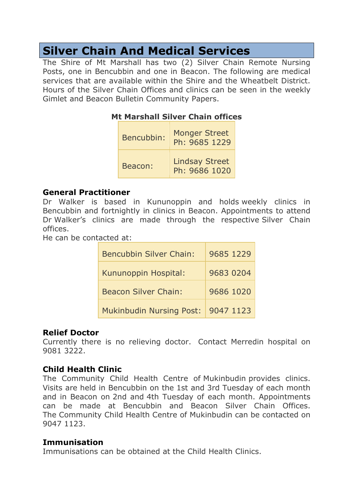# Silver Chain And Medical Services

The Shire of Mt Marshall has two (2) Silver Chain Remote Nursing Posts, one in Bencubbin and one in Beacon. The following are medical services that are available within the Shire and the Wheatbelt District. Hours of the Silver Chain Offices and clinics can be seen in the weekly Gimlet and Beacon Bulletin Community Papers.

#### Mt Marshall Silver Chain offices

| Bencubbin: | <b>Monger Street</b><br>Ph: 9685 1229  |
|------------|----------------------------------------|
| Beacon:    | <b>Lindsay Street</b><br>Ph: 9686 1020 |

#### General Practitioner

Dr Walker is based in Kununoppin and holds weekly clinics in Bencubbin and fortnightly in clinics in Beacon. Appointments to attend Dr Walker's clinics are made through the respective Silver Chain offices.

He can be contacted at:

| <b>Bencubbin Silver Chain:</b>  | 9685 1229 |
|---------------------------------|-----------|
| Kununoppin Hospital:            | 9683 0204 |
| <b>Beacon Silver Chain:</b>     | 9686 1020 |
| <b>Mukinbudin Nursing Post:</b> | 9047 1123 |

#### Relief Doctor

Currently there is no relieving doctor. Contact Merredin hospital on 9081 3222.

#### Child Health Clinic

The Community Child Health Centre of Mukinbudin provides clinics. Visits are held in Bencubbin on the 1st and 3rd Tuesday of each month and in Beacon on 2nd and 4th Tuesday of each month. Appointments can be made at Bencubbin and Beacon Silver Chain Offices. The Community Child Health Centre of Mukinbudin can be contacted on 9047 1123.

#### Immunisation

Immunisations can be obtained at the Child Health Clinics.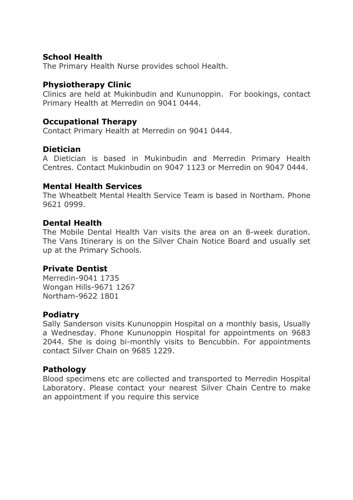#### School Health

The Primary Health Nurse provides school Health.

#### Physiotherapy Clinic

Clinics are held at Mukinbudin and Kununoppin. For bookings, contact Primary Health at Merredin on 9041 0444.

#### Occupational Therapy

Contact Primary Health at Merredin on 9041 0444.

#### Dietician

A Dietician is based in Mukinbudin and Merredin Primary Health Centres. Contact Mukinbudin on 9047 1123 or Merredin on 9047 0444.

#### Mental Health Services

The Wheatbelt Mental Health Service Team is based in Northam. Phone 9621 0999.

#### Dental Health

The Mobile Dental Health Van visits the area on an 8-week duration. The Vans Itinerary is on the Silver Chain Notice Board and usually set up at the Primary Schools.

#### Private Dentist

Merredin-9041 1735 Wongan Hills-9671 1267 Northam-9622 1801

#### Podiatry

Sally Sanderson visits Kununoppin Hospital on a monthly basis, Usually a Wednesday. Phone Kununoppin Hospital for appointments on 9683 2044. She is doing bi-monthly visits to Bencubbin. For appointments contact Silver Chain on 9685 1229.

#### **Pathology**

Blood specimens etc are collected and transported to Merredin Hospital Laboratory. Please contact your nearest Silver Chain Centre to make an appointment if you require this service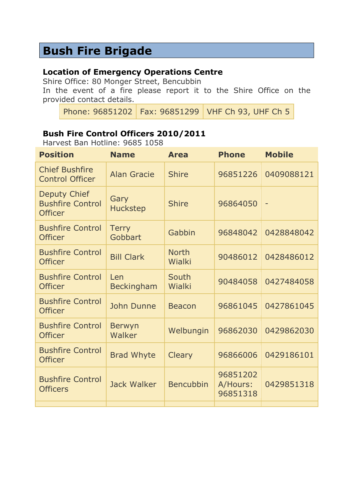## Bush Fire Brigade

#### Location of Emergency Operations Centre

Shire Office: 80 Monger Street, Bencubbin

In the event of a fire please report it to the Shire Office on the provided contact details.

Phone: 96851202 Fax: 96851299 VHF Ch 93, UHF Ch 5

### Bush Fire Control Officers 2010/2011

Harvest Ban Hotline: 9685 1058

| <b>Position</b>                                                  | <b>Name</b>              | <b>Area</b>            | <b>Phone</b>                     | <b>Mobile</b>            |
|------------------------------------------------------------------|--------------------------|------------------------|----------------------------------|--------------------------|
| <b>Chief Bushfire</b><br><b>Control Officer</b>                  | <b>Alan Gracie</b>       | <b>Shire</b>           | 96851226                         | 0409088121               |
| <b>Deputy Chief</b><br><b>Bushfire Control</b><br><b>Officer</b> | Gary<br><b>Huckstep</b>  | <b>Shire</b>           | 96864050                         | $\overline{\phantom{0}}$ |
| <b>Bushfire Control</b><br><b>Officer</b>                        | <b>Terry</b><br>Gobbart  | Gabbin                 | 96848042                         | 0428848042               |
| <b>Bushfire Control</b><br><b>Officer</b>                        | <b>Bill Clark</b>        | <b>North</b><br>Wialki | 90486012                         | 0428486012               |
| <b>Bushfire Control</b><br><b>Officer</b>                        | Len<br><b>Beckingham</b> | South<br>Wialki        | 90484058                         | 0427484058               |
| <b>Bushfire Control</b><br><b>Officer</b>                        | John Dunne               | <b>Beacon</b>          | 96861045                         | 0427861045               |
| <b>Bushfire Control</b><br><b>Officer</b>                        | <b>Berwyn</b><br>Walker  | Welbungin              | 96862030                         | 0429862030               |
| <b>Bushfire Control</b><br><b>Officer</b>                        | <b>Brad Whyte</b>        | <b>Cleary</b>          | 96866006                         | 0429186101               |
| <b>Bushfire Control</b><br><b>Officers</b>                       | <b>Jack Walker</b>       | <b>Bencubbin</b>       | 96851202<br>A/Hours:<br>96851318 | 0429851318               |
|                                                                  |                          |                        |                                  |                          |